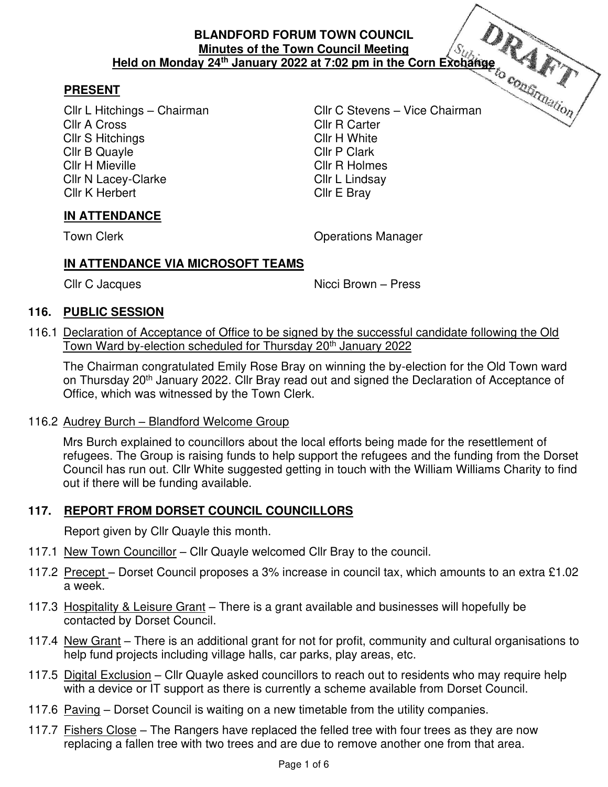# **PRESENT**

Cllr A Cross Cllr R Carter Cllr S Hitchings Cllr H White Cllr B Quayle Cllr P Clark Cllr H Mieville **Cllr R Holmes** Cllr N Lacey-Clarke Cllr L Lindsay Cllr K Herbert Cllr E Bray

Cllr L Hitchings – Chairman Cllr C Stevens – Vice Chairman

# **IN ATTENDANCE**

Town Clerk **Contract Contract Contract Contract Contract Contract Contract Contract Contract Contract Contract Contract Contract Contract Contract Contract Contract Contract Contract Contract Contract Contract Contract Con** 

# **IN ATTENDANCE VIA MICROSOFT TEAMS**

Cllr C Jacques Nicci Brown – Press

## **116. PUBLIC SESSION**

116.1 Declaration of Acceptance of Office to be signed by the successful candidate following the Old Town Ward by-election scheduled for Thursday 20th January 2022

 The Chairman congratulated Emily Rose Bray on winning the by-election for the Old Town ward on Thursday 20<sup>th</sup> January 2022. Cllr Bray read out and signed the Declaration of Acceptance of Office, which was witnessed by the Town Clerk.

## 116.2 Audrey Burch – Blandford Welcome Group

 Mrs Burch explained to councillors about the local efforts being made for the resettlement of refugees. The Group is raising funds to help support the refugees and the funding from the Dorset Council has run out. Cllr White suggested getting in touch with the William Williams Charity to find out if there will be funding available.

## **117. REPORT FROM DORSET COUNCIL COUNCILLORS**

Report given by Cllr Quayle this month.

- 117.1 New Town Councillor Cllr Quayle welcomed Cllr Bray to the council.
- 117.2 Precept Dorset Council proposes a 3% increase in council tax, which amounts to an extra £1.02 a week.
- 117.3 Hospitality & Leisure Grant There is a grant available and businesses will hopefully be contacted by Dorset Council.
- 117.4 New Grant There is an additional grant for not for profit, community and cultural organisations to help fund projects including village halls, car parks, play areas, etc.
- 117.5 Digital Exclusion Cllr Quayle asked councillors to reach out to residents who may require help with a device or IT support as there is currently a scheme available from Dorset Council.
- 117.6 Paving Dorset Council is waiting on a new timetable from the utility companies.
- 117.7 Fishers Close The Rangers have replaced the felled tree with four trees as they are now replacing a fallen tree with two trees and are due to remove another one from that area.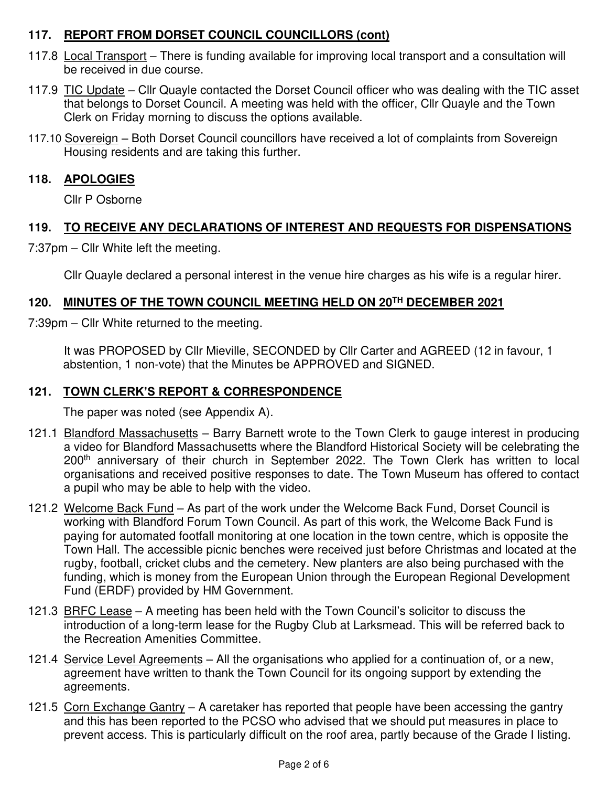# **117. REPORT FROM DORSET COUNCIL COUNCILLORS (cont)**

- 117.8 Local Transport There is funding available for improving local transport and a consultation will be received in due course.
- 117.9 TIC Update Cllr Quayle contacted the Dorset Council officer who was dealing with the TIC asset that belongs to Dorset Council. A meeting was held with the officer, Cllr Quayle and the Town Clerk on Friday morning to discuss the options available.
- 117.10 Sovereign Both Dorset Council councillors have received a lot of complaints from Sovereign Housing residents and are taking this further.

# **118. APOLOGIES**

Cllr P Osborne

# **119. TO RECEIVE ANY DECLARATIONS OF INTEREST AND REQUESTS FOR DISPENSATIONS**

7:37pm – Cllr White left the meeting.

Cllr Quayle declared a personal interest in the venue hire charges as his wife is a regular hirer.

# **120. MINUTES OF THE TOWN COUNCIL MEETING HELD ON 20TH DECEMBER 2021**

7:39pm – Cllr White returned to the meeting.

 It was PROPOSED by Cllr Mieville, SECONDED by Cllr Carter and AGREED (12 in favour, 1 abstention, 1 non-vote) that the Minutes be APPROVED and SIGNED.

# **121. TOWN CLERK'S REPORT & CORRESPONDENCE**

The paper was noted (see Appendix A).

- 121.1 Blandford Massachusetts Barry Barnett wrote to the Town Clerk to gauge interest in producing a video for Blandford Massachusetts where the Blandford Historical Society will be celebrating the 200<sup>th</sup> anniversary of their church in September 2022. The Town Clerk has written to local organisations and received positive responses to date. The Town Museum has offered to contact a pupil who may be able to help with the video.
- 121.2 Welcome Back Fund As part of the work under the Welcome Back Fund, Dorset Council is working with Blandford Forum Town Council. As part of this work, the Welcome Back Fund is paying for automated footfall monitoring at one location in the town centre, which is opposite the Town Hall. The accessible picnic benches were received just before Christmas and located at the rugby, football, cricket clubs and the cemetery. New planters are also being purchased with the funding, which is money from the European Union through the European Regional Development Fund (ERDF) provided by HM Government.
- 121.3 BRFC Lease A meeting has been held with the Town Council's solicitor to discuss the introduction of a long-term lease for the Rugby Club at Larksmead. This will be referred back to the Recreation Amenities Committee.
- 121.4 Service Level Agreements All the organisations who applied for a continuation of, or a new, agreement have written to thank the Town Council for its ongoing support by extending the agreements.
- 121.5 Corn Exchange Gantry A caretaker has reported that people have been accessing the gantry and this has been reported to the PCSO who advised that we should put measures in place to prevent access. This is particularly difficult on the roof area, partly because of the Grade I listing.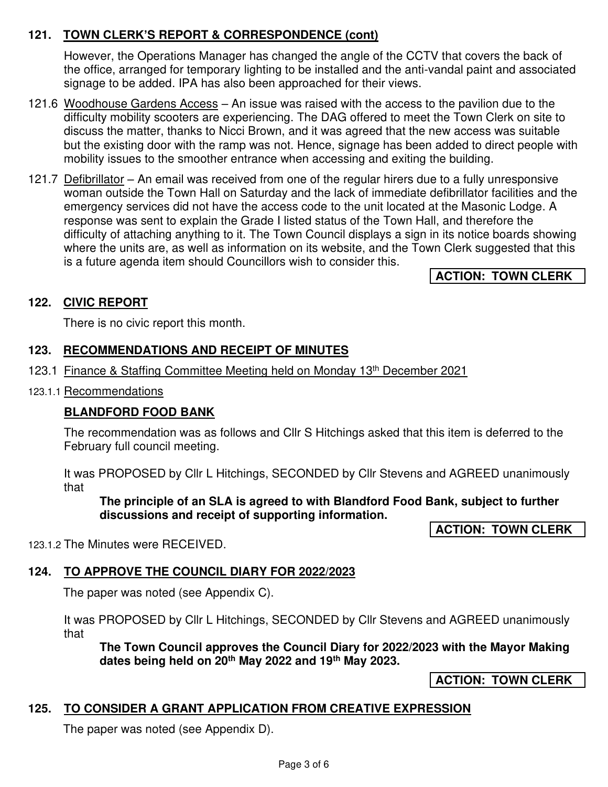# **121. TOWN CLERK'S REPORT & CORRESPONDENCE (cont)**

However, the Operations Manager has changed the angle of the CCTV that covers the back of the office, arranged for temporary lighting to be installed and the anti-vandal paint and associated signage to be added. IPA has also been approached for their views.

- 121.6 Woodhouse Gardens Access An issue was raised with the access to the pavilion due to the difficulty mobility scooters are experiencing. The DAG offered to meet the Town Clerk on site to discuss the matter, thanks to Nicci Brown, and it was agreed that the new access was suitable but the existing door with the ramp was not. Hence, signage has been added to direct people with mobility issues to the smoother entrance when accessing and exiting the building.
- 121.7 Defibrillator An email was received from one of the regular hirers due to a fully unresponsive woman outside the Town Hall on Saturday and the lack of immediate defibrillator facilities and the emergency services did not have the access code to the unit located at the Masonic Lodge. A response was sent to explain the Grade I listed status of the Town Hall, and therefore the difficulty of attaching anything to it. The Town Council displays a sign in its notice boards showing where the units are, as well as information on its website, and the Town Clerk suggested that this is a future agenda item should Councillors wish to consider this.

**ACTION: TOWN CLERK**

# **122. CIVIC REPORT**

There is no civic report this month.

## **123. RECOMMENDATIONS AND RECEIPT OF MINUTES**

- 123.1 Finance & Staffing Committee Meeting held on Monday 13th December 2021
- 123.1.1 Recommendations

## **BLANDFORD FOOD BANK**

The recommendation was as follows and Cllr S Hitchings asked that this item is deferred to the February full council meeting.

It was PROPOSED by Cllr L Hitchings, SECONDED by Cllr Stevens and AGREED unanimously that

**The principle of an SLA is agreed to with Blandford Food Bank, subject to further discussions and receipt of supporting information.** 

**ACTION: TOWN CLERK**

123.1.2 The Minutes were RECEIVED.

# **124. TO APPROVE THE COUNCIL DIARY FOR 2022/2023**

The paper was noted (see Appendix C).

It was PROPOSED by Cllr L Hitchings, SECONDED by Cllr Stevens and AGREED unanimously that

**The Town Council approves the Council Diary for 2022/2023 with the Mayor Making dates being held on 20th May 2022 and 19th May 2023.** 

**ACTION: TOWN CLERK**

# **125. TO CONSIDER A GRANT APPLICATION FROM CREATIVE EXPRESSION**

The paper was noted (see Appendix D).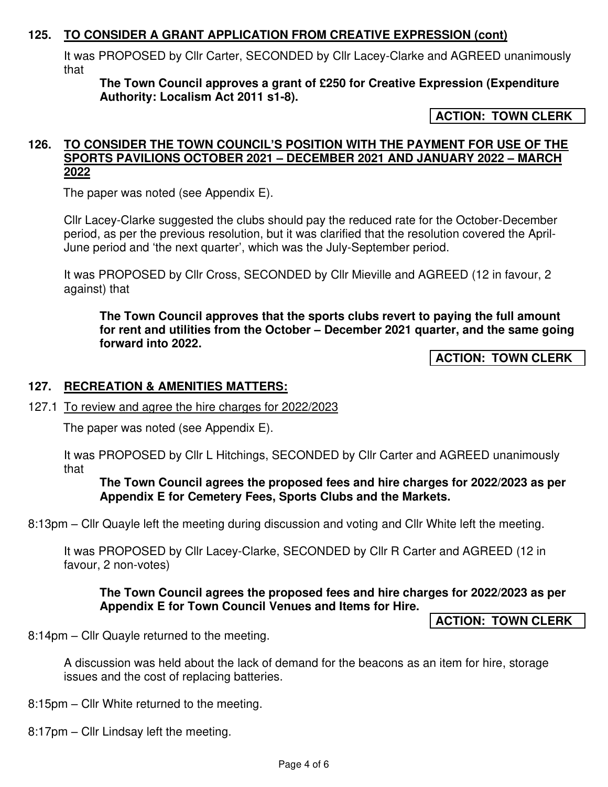## **125. TO CONSIDER A GRANT APPLICATION FROM CREATIVE EXPRESSION (cont)**

It was PROPOSED by Cllr Carter, SECONDED by Cllr Lacey-Clarke and AGREED unanimously that

**The Town Council approves a grant of £250 for Creative Expression (Expenditure Authority: Localism Act 2011 s1-8).** 

**ACTION: TOWN CLERK**

#### **126. TO CONSIDER THE TOWN COUNCIL'S POSITION WITH THE PAYMENT FOR USE OF THE SPORTS PAVILIONS OCTOBER 2021 – DECEMBER 2021 AND JANUARY 2022 – MARCH 2022**

The paper was noted (see Appendix E).

Cllr Lacey-Clarke suggested the clubs should pay the reduced rate for the October-December period, as per the previous resolution, but it was clarified that the resolution covered the April-June period and 'the next quarter', which was the July-September period.

It was PROPOSED by Cllr Cross, SECONDED by Cllr Mieville and AGREED (12 in favour, 2 against) that

**The Town Council approves that the sports clubs revert to paying the full amount for rent and utilities from the October – December 2021 quarter, and the same going forward into 2022.** 

**ACTION: TOWN CLERK**

### **127. RECREATION & AMENITIES MATTERS:**

### 127.1 To review and agree the hire charges for 2022/2023

The paper was noted (see Appendix E).

It was PROPOSED by Cllr L Hitchings, SECONDED by Cllr Carter and AGREED unanimously that

### **The Town Council agrees the proposed fees and hire charges for 2022/2023 as per Appendix E for Cemetery Fees, Sports Clubs and the Markets.**

8:13pm – Cllr Quayle left the meeting during discussion and voting and Cllr White left the meeting.

It was PROPOSED by Cllr Lacey-Clarke, SECONDED by Cllr R Carter and AGREED (12 in favour, 2 non-votes)

### **The Town Council agrees the proposed fees and hire charges for 2022/2023 as per Appendix E for Town Council Venues and Items for Hire.**

**ACTION: TOWN CLERK**

8:14pm – Cllr Quayle returned to the meeting.

A discussion was held about the lack of demand for the beacons as an item for hire, storage issues and the cost of replacing batteries.

8:15pm – Cllr White returned to the meeting.

8:17pm – Cllr Lindsay left the meeting.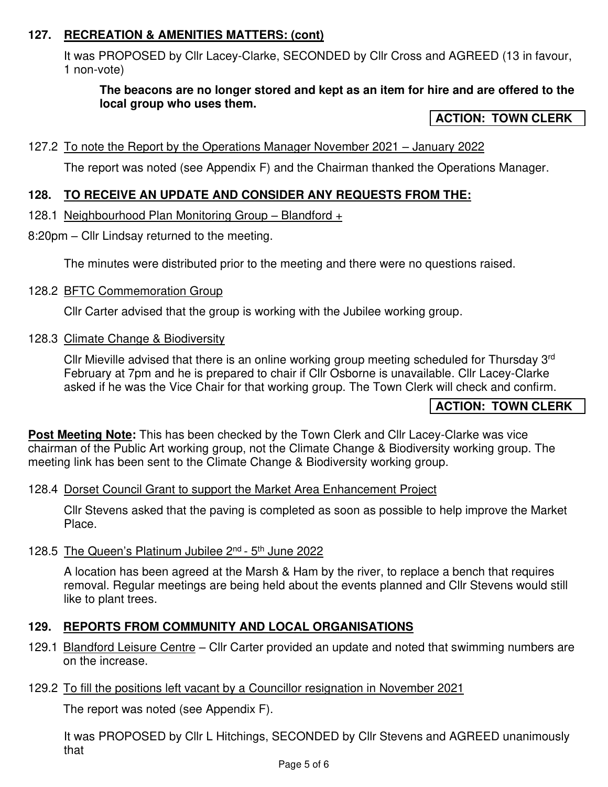# **127. RECREATION & AMENITIES MATTERS: (cont)**

It was PROPOSED by Cllr Lacey-Clarke, SECONDED by Cllr Cross and AGREED (13 in favour, 1 non-vote)

## **The beacons are no longer stored and kept as an item for hire and are offered to the local group who uses them.**

### **ACTION: TOWN CLERK**

### 127.2 To note the Report by the Operations Manager November 2021 – January 2022

The report was noted (see Appendix F) and the Chairman thanked the Operations Manager.

## **128. TO RECEIVE AN UPDATE AND CONSIDER ANY REQUESTS FROM THE:**

### 128.1 Neighbourhood Plan Monitoring Group – Blandford +

8:20pm – Cllr Lindsay returned to the meeting.

The minutes were distributed prior to the meeting and there were no questions raised.

128.2 BFTC Commemoration Group

Cllr Carter advised that the group is working with the Jubilee working group.

128.3 Climate Change & Biodiversity

Cllr Mieville advised that there is an online working group meeting scheduled for Thursday 3<sup>rd</sup> February at 7pm and he is prepared to chair if Cllr Osborne is unavailable. Cllr Lacey-Clarke asked if he was the Vice Chair for that working group. The Town Clerk will check and confirm.

## **ACTION: TOWN CLERK**

**Post Meeting Note:** This has been checked by the Town Clerk and Cllr Lacey-Clarke was vice chairman of the Public Art working group, not the Climate Change & Biodiversity working group. The meeting link has been sent to the Climate Change & Biodiversity working group.

### 128.4 Dorset Council Grant to support the Market Area Enhancement Project

Cllr Stevens asked that the paving is completed as soon as possible to help improve the Market Place.

### 128.5 The Queen's Platinum Jubilee 2nd - 5th June 2022

A location has been agreed at the Marsh & Ham by the river, to replace a bench that requires removal. Regular meetings are being held about the events planned and Cllr Stevens would still like to plant trees.

## **129. REPORTS FROM COMMUNITY AND LOCAL ORGANISATIONS**

- 129.1 Blandford Leisure Centre Cllr Carter provided an update and noted that swimming numbers are on the increase.
- 129.2 To fill the positions left vacant by a Councillor resignation in November 2021

The report was noted (see Appendix F).

It was PROPOSED by Cllr L Hitchings, SECONDED by Cllr Stevens and AGREED unanimously that